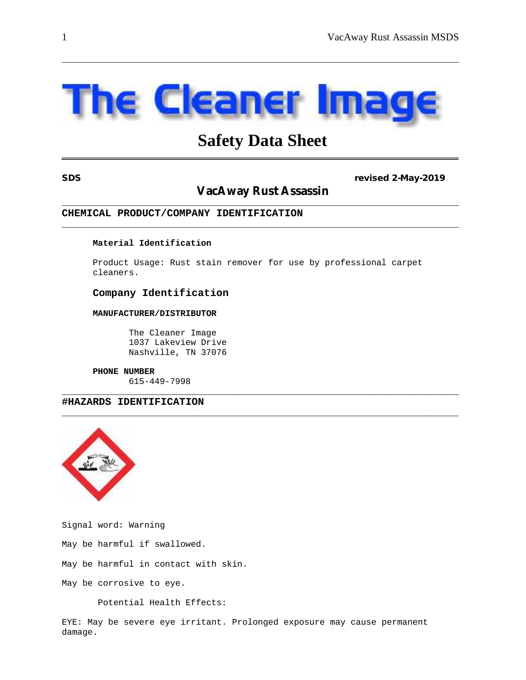# Cleaner

\_\_\_\_\_\_\_\_\_\_\_\_\_\_\_\_\_\_\_\_\_\_\_\_\_\_\_\_\_\_\_\_\_\_\_\_\_\_\_\_\_\_\_\_\_\_\_\_\_\_\_\_\_\_\_\_\_\_\_\_\_\_\_\_\_\_\_\_\_\_\_\_\_\_\_\_\_

# **Safety Data Sheet \_\_\_\_\_\_\_\_\_\_\_\_\_\_\_\_\_\_\_\_\_\_\_\_\_\_\_\_\_\_\_\_\_\_\_\_\_\_\_\_\_\_\_\_\_\_\_\_\_\_\_\_\_\_\_\_\_\_\_\_\_\_\_\_\_\_\_\_\_\_\_\_\_\_\_\_\_**

#### **SDS revised 2-May-2019**

## **VacAway Rust Assassin** \_\_\_\_\_\_\_\_\_\_\_\_\_\_\_\_\_\_\_\_\_\_\_\_\_\_\_\_\_\_\_\_\_\_\_\_\_\_\_\_\_\_\_\_\_\_\_\_\_\_\_\_\_\_\_\_\_\_\_\_\_\_\_\_\_\_\_\_\_\_\_\_\_\_\_\_\_

\_\_\_\_\_\_\_\_\_\_\_\_\_\_\_\_\_\_\_\_\_\_\_\_\_\_\_\_\_\_\_\_\_\_\_\_\_\_\_\_\_\_\_\_\_\_\_\_\_\_\_\_\_\_\_\_\_\_\_\_\_\_\_\_\_\_\_\_\_\_\_\_\_\_\_\_\_

#### **CHEMICAL PRODUCT/COMPANY IDENTIFICATION**

#### **Material Identification**

Product Usage: Rust stain remover for use by professional carpet cleaners.

\_\_\_\_\_\_\_\_\_\_\_\_\_\_\_\_\_\_\_\_\_\_\_\_\_\_\_\_\_\_\_\_\_\_\_\_\_\_\_\_\_\_\_\_\_\_\_\_\_\_\_\_\_\_\_\_\_\_\_\_\_\_\_\_\_\_\_\_\_\_\_\_\_\_\_\_\_

\_\_\_\_\_\_\_\_\_\_\_\_\_\_\_\_\_\_\_\_\_\_\_\_\_\_\_\_\_\_\_\_\_\_\_\_\_\_\_\_\_\_\_\_\_\_\_\_\_\_\_\_\_\_\_\_\_\_\_\_\_\_\_\_\_\_\_\_\_\_\_\_\_\_\_\_\_

#### **Company Identification**

#### **MANUFACTURER/DISTRIBUTOR**

The Cleaner Image 1037 Lakeview Drive Nashville, TN 37076

#### **PHONE NUMBER**

615-449-7998

### **#HAZARDS IDENTIFICATION**



Signal word: Warning

May be harmful if swallowed.

May be harmful in contact with skin.

May be corrosive to eye.

Potential Health Effects:

EYE: May be severe eye irritant. Prolonged exposure may cause permanent damage.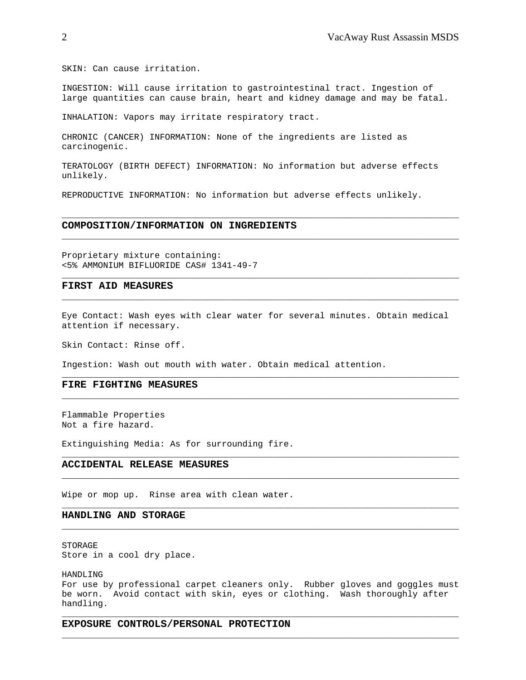SKIN: Can cause irritation.

INGESTION: Will cause irritation to gastrointestinal tract. Ingestion of large quantities can cause brain, heart and kidney damage and may be fatal.

INHALATION: Vapors may irritate respiratory tract.

CHRONIC (CANCER) INFORMATION: None of the ingredients are listed as carcinogenic.

TERATOLOGY (BIRTH DEFECT) INFORMATION: No information but adverse effects unlikely.

\_\_\_\_\_\_\_\_\_\_\_\_\_\_\_\_\_\_\_\_\_\_\_\_\_\_\_\_\_\_\_\_\_\_\_\_\_\_\_\_\_\_\_\_\_\_\_\_\_\_\_\_\_\_\_\_\_\_\_\_\_\_\_\_\_\_\_\_\_\_\_\_\_\_\_\_\_

\_\_\_\_\_\_\_\_\_\_\_\_\_\_\_\_\_\_\_\_\_\_\_\_\_\_\_\_\_\_\_\_\_\_\_\_\_\_\_\_\_\_\_\_\_\_\_\_\_\_\_\_\_\_\_\_\_\_\_\_\_\_\_\_\_\_\_\_\_\_\_\_\_\_\_\_\_

\_\_\_\_\_\_\_\_\_\_\_\_\_\_\_\_\_\_\_\_\_\_\_\_\_\_\_\_\_\_\_\_\_\_\_\_\_\_\_\_\_\_\_\_\_\_\_\_\_\_\_\_\_\_\_\_\_\_\_\_\_\_\_\_\_\_\_\_\_\_\_\_\_\_\_\_\_

 $\overline{\phantom{a}}$  , and the set of the set of the set of the set of the set of the set of the set of the set of the set of the set of the set of the set of the set of the set of the set of the set of the set of the set of the s

REPRODUCTIVE INFORMATION: No information but adverse effects unlikely.

#### **COMPOSITION/INFORMATION ON INGREDIENTS**

Proprietary mixture containing: <5% AMMONIUM BIFLUORIDE CAS# 1341-49-7

#### **FIRST AID MEASURES**

Eye Contact: Wash eyes with clear water for several minutes. Obtain medical attention if necessary.

\_\_\_\_\_\_\_\_\_\_\_\_\_\_\_\_\_\_\_\_\_\_\_\_\_\_\_\_\_\_\_\_\_\_\_\_\_\_\_\_\_\_\_\_\_\_\_\_\_\_\_\_\_\_\_\_\_\_\_\_\_\_\_\_\_\_\_\_\_\_\_\_\_\_\_\_\_

\_\_\_\_\_\_\_\_\_\_\_\_\_\_\_\_\_\_\_\_\_\_\_\_\_\_\_\_\_\_\_\_\_\_\_\_\_\_\_\_\_\_\_\_\_\_\_\_\_\_\_\_\_\_\_\_\_\_\_\_\_\_\_\_\_\_\_\_\_\_\_\_\_\_\_\_\_

\_\_\_\_\_\_\_\_\_\_\_\_\_\_\_\_\_\_\_\_\_\_\_\_\_\_\_\_\_\_\_\_\_\_\_\_\_\_\_\_\_\_\_\_\_\_\_\_\_\_\_\_\_\_\_\_\_\_\_\_\_\_\_\_\_\_\_\_\_\_\_\_\_\_\_\_\_

\_\_\_\_\_\_\_\_\_\_\_\_\_\_\_\_\_\_\_\_\_\_\_\_\_\_\_\_\_\_\_\_\_\_\_\_\_\_\_\_\_\_\_\_\_\_\_\_\_\_\_\_\_\_\_\_\_\_\_\_\_\_\_\_\_\_\_\_\_\_\_\_\_\_\_\_\_

\_\_\_\_\_\_\_\_\_\_\_\_\_\_\_\_\_\_\_\_\_\_\_\_\_\_\_\_\_\_\_\_\_\_\_\_\_\_\_\_\_\_\_\_\_\_\_\_\_\_\_\_\_\_\_\_\_\_\_\_\_\_\_\_\_\_\_\_\_\_\_\_\_\_\_\_\_

\_\_\_\_\_\_\_\_\_\_\_\_\_\_\_\_\_\_\_\_\_\_\_\_\_\_\_\_\_\_\_\_\_\_\_\_\_\_\_\_\_\_\_\_\_\_\_\_\_\_\_\_\_\_\_\_\_\_\_\_\_\_\_\_\_\_\_\_\_\_\_\_\_\_\_\_\_

Skin Contact: Rinse off.

Ingestion: Wash out mouth with water. Obtain medical attention.

#### **FIRE FIGHTING MEASURES**

Flammable Properties Not a fire hazard.

Extinguishing Media: As for surrounding fire.

#### **ACCIDENTAL RELEASE MEASURES**

Wipe or mop up. Rinse area with clean water.

#### **HANDLING AND STORAGE**

STORAGE Store in a cool dry place.

HANDLING

For use by professional carpet cleaners only. Rubber gloves and goggles must be worn. Avoid contact with skin, eyes or clothing. Wash thoroughly after handling.

\_\_\_\_\_\_\_\_\_\_\_\_\_\_\_\_\_\_\_\_\_\_\_\_\_\_\_\_\_\_\_\_\_\_\_\_\_\_\_\_\_\_\_\_\_\_\_\_\_\_\_\_\_\_\_\_\_\_\_\_\_\_\_\_\_\_\_\_\_\_\_\_\_\_\_\_\_

\_\_\_\_\_\_\_\_\_\_\_\_\_\_\_\_\_\_\_\_\_\_\_\_\_\_\_\_\_\_\_\_\_\_\_\_\_\_\_\_\_\_\_\_\_\_\_\_\_\_\_\_\_\_\_\_\_\_\_\_\_\_\_\_\_\_\_\_\_\_\_\_\_\_\_\_\_

**EXPOSURE CONTROLS/PERSONAL PROTECTION**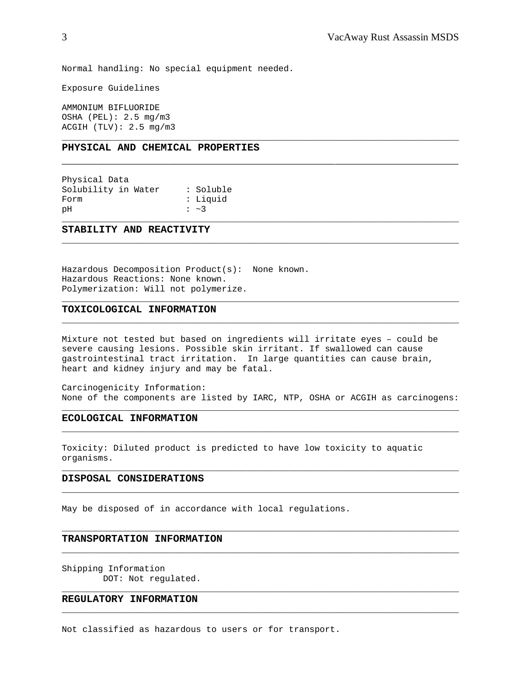Normal handling: No special equipment needed.

Exposure Guidelines

AMMONIUM BIFLUORIDE OSHA (PEL): 2.5 mg/m3 ACGIH (TLV): 2.5 mg/m3

#### **PHYSICAL AND CHEMICAL PROPERTIES**

Physical Data Solubility in Water : Soluble Form : Liquid pH : ~3

#### **STABILITY AND REACTIVITY**

Hazardous Decomposition Product(s): None known. Hazardous Reactions: None known. Polymerization: Will not polymerize.

#### **TOXICOLOGICAL INFORMATION**

Mixture not tested but based on ingredients will irritate eyes – could be severe causing lesions. Possible skin irritant. If swallowed can cause gastrointestinal tract irritation. In large quantities can cause brain, heart and kidney injury and may be fatal.

Carcinogenicity Information: None of the components are listed by IARC, NTP, OSHA or ACGIH as carcinogens: \_\_\_\_\_\_\_\_\_\_\_\_\_\_\_\_\_\_\_\_\_\_\_\_\_\_\_\_\_\_\_\_\_\_\_\_\_\_\_\_\_\_\_\_\_\_\_\_\_\_\_\_\_\_\_\_\_\_\_\_\_\_\_\_\_\_\_\_\_\_\_\_\_\_\_\_\_

\_\_\_\_\_\_\_\_\_\_\_\_\_\_\_\_\_\_\_\_\_\_\_\_\_\_\_\_\_\_\_\_\_\_\_\_\_\_\_\_\_\_\_\_\_\_\_\_\_\_\_\_\_\_\_\_\_\_\_\_\_\_\_\_\_\_\_\_\_\_\_\_\_\_\_\_\_

\_\_\_\_\_\_\_\_\_\_\_\_\_\_\_\_\_\_\_\_\_\_\_\_\_\_\_\_\_\_\_\_\_\_\_\_\_\_\_\_\_\_\_\_\_\_\_\_\_\_\_\_\_\_\_\_\_\_\_\_\_\_\_\_\_\_\_\_\_\_\_\_\_\_\_\_\_

\_\_\_\_\_\_\_\_\_\_\_\_\_\_\_\_\_\_\_\_\_\_\_\_\_\_\_\_\_\_\_\_\_\_\_\_\_\_\_\_\_\_\_\_\_\_\_\_\_\_\_\_\_\_\_\_\_\_\_\_\_\_\_\_\_\_\_\_\_\_\_\_\_\_\_\_\_

\_\_\_\_\_\_\_\_\_\_\_\_\_\_\_\_\_\_\_\_\_\_\_\_\_\_\_\_\_\_\_\_\_\_\_\_\_\_\_\_\_\_\_\_\_\_\_\_\_\_\_\_\_\_\_\_\_\_\_\_\_\_\_\_\_\_\_\_\_\_\_\_\_\_\_\_\_

\_\_\_\_\_\_\_\_\_\_\_\_\_\_\_\_\_\_\_\_\_\_\_\_\_\_\_\_\_\_\_\_\_\_\_\_\_\_\_\_\_\_\_\_\_\_\_\_\_\_\_\_\_\_\_\_\_\_\_\_\_\_\_\_\_\_\_\_\_\_\_\_\_\_\_\_\_

\_\_\_\_\_\_\_\_\_\_\_\_\_\_\_\_\_\_\_\_\_\_\_\_\_\_\_\_\_\_\_\_\_\_\_\_\_\_\_\_\_\_\_\_\_\_\_\_\_\_\_\_\_\_\_\_\_\_\_\_\_\_\_\_\_\_\_\_\_\_\_\_\_\_\_\_\_

\_\_\_\_\_\_\_\_\_\_\_\_\_\_\_\_\_\_\_\_\_\_\_\_\_\_\_\_\_\_\_\_\_\_\_\_\_\_\_\_\_\_\_\_\_\_\_\_\_\_\_\_\_\_\_\_\_\_\_\_\_\_\_\_\_\_\_\_\_\_\_\_\_\_\_\_\_

\_\_\_\_\_\_\_\_\_\_\_\_\_\_\_\_\_\_\_\_\_\_\_\_\_\_\_\_\_\_\_\_\_\_\_\_\_\_\_\_\_\_\_\_\_\_\_\_\_\_\_\_\_\_\_\_\_\_\_\_\_\_\_\_\_\_\_\_\_\_\_\_\_\_\_\_\_

\_\_\_\_\_\_\_\_\_\_\_\_\_\_\_\_\_\_\_\_\_\_\_\_\_\_\_\_\_\_\_\_\_\_\_\_\_\_\_\_\_\_\_\_\_\_\_\_\_\_\_\_\_\_\_\_\_\_\_\_\_\_\_\_\_\_\_\_\_\_\_\_\_\_\_\_\_

\_\_\_\_\_\_\_\_\_\_\_\_\_\_\_\_\_\_\_\_\_\_\_\_\_\_\_\_\_\_\_\_\_\_\_\_\_\_\_\_\_\_\_\_\_\_\_\_\_\_\_\_\_\_\_\_\_\_\_\_\_\_\_\_\_\_\_\_\_\_\_\_\_\_\_\_\_

\_\_\_\_\_\_\_\_\_\_\_\_\_\_\_\_\_\_\_\_\_\_\_\_\_\_\_\_\_\_\_\_\_\_\_\_\_\_\_\_\_\_\_\_\_\_\_\_\_\_\_\_\_\_\_\_\_\_\_\_\_\_\_\_\_\_\_\_\_\_\_\_\_\_\_\_\_

\_\_\_\_\_\_\_\_\_\_\_\_\_\_\_\_\_\_\_\_\_\_\_\_\_\_\_\_\_\_\_\_\_\_\_\_\_\_\_\_\_\_\_\_\_\_\_\_\_\_\_\_\_\_\_\_\_\_\_\_\_\_\_\_\_\_\_\_\_\_\_\_\_\_\_\_\_

\_\_\_\_\_\_\_\_\_\_\_\_\_\_\_\_\_\_\_\_\_\_\_\_\_\_\_\_\_\_\_\_\_\_\_\_\_\_\_\_\_\_\_\_\_\_\_\_\_\_\_\_\_\_\_\_\_\_\_\_\_\_\_\_\_\_\_\_\_\_\_\_\_\_\_\_\_

#### **ECOLOGICAL INFORMATION**

Toxicity: Diluted product is predicted to have low toxicity to aquatic organisms.

#### **DISPOSAL CONSIDERATIONS**

May be disposed of in accordance with local regulations.

#### **TRANSPORTATION INFORMATION**

Shipping Information DOT: Not regulated.

#### **REGULATORY INFORMATION**

Not classified as hazardous to users or for transport.